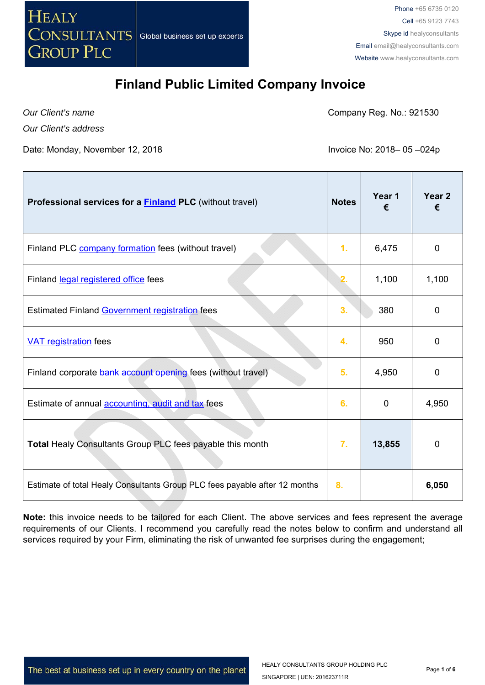

*Our Client's name* 

Company Reg. No.: 921530

*Our Client's address*

Date: Monday, November 12, 2018 **Invoice No. 2018 Invoice No: 2018** - 05 -024p

| Professional services for a <b>Finland PLC</b> (without travel)            | <b>Notes</b> | Year 1<br>€ | Year <sub>2</sub><br>€ |
|----------------------------------------------------------------------------|--------------|-------------|------------------------|
| Finland PLC company formation fees (without travel)                        | 1.           | 6,475       | $\overline{0}$         |
| Finland legal registered office fees                                       |              | 1,100       | 1,100                  |
| Estimated Finland Government registration fees                             | 3.           | 380         | 0                      |
| <b>VAT registration fees</b>                                               | 4.           | 950         | $\mathbf 0$            |
| Finland corporate bank account opening fees (without travel)               | 5.           | 4,950       | 0                      |
| Estimate of annual <b>accounting</b> , audit and tax fees                  | 6.           | 0           | 4,950                  |
| Total Healy Consultants Group PLC fees payable this month                  | 7.           | 13,855      | 0                      |
| Estimate of total Healy Consultants Group PLC fees payable after 12 months | 8.           |             | 6,050                  |

**Note:** this invoice needs to be tailored for each Client. The above services and fees represent the average requirements of our Clients. I recommend you carefully read the notes below to confirm and understand all services required by your Firm, eliminating the risk of unwanted fee surprises during the engagement;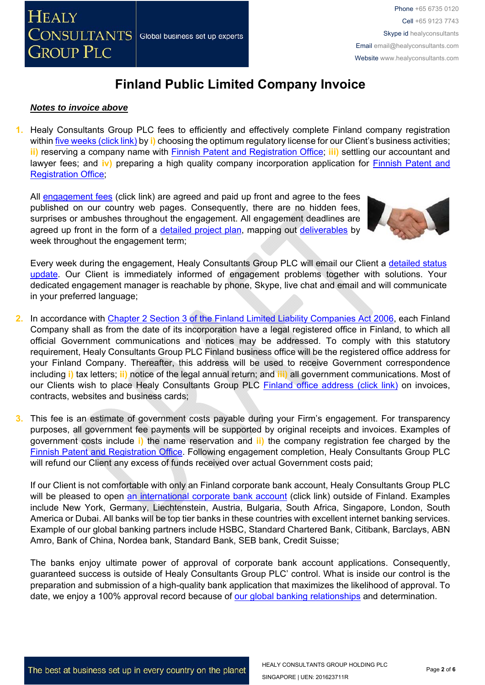#### *Notes to invoice above*

**1.** Healy Consultants Group PLC fees to efficiently and effectively complete Finland company registration within five weeks (click link) by **i)** choosing the optimum regulatory license for our Client's business activities; **ii)** reserving a company name with Finnish Patent and Registration Office; **iii)** settling our accountant and lawyer fees; and iv) preparing a high quality company incorporation application for **Finnish Patent and** Registration Office;

All engagement fees (click link) are agreed and paid up front and agree to the fees published on our country web pages. Consequently, there are no hidden fees, surprises or ambushes throughout the engagement. All engagement deadlines are agreed up front in the form of a detailed project plan, mapping out deliverables by week throughout the engagement term;



Every week during the engagement, Healy Consultants Group PLC will email our Client a detailed status update. Our Client is immediately informed of engagement problems together with solutions. Your dedicated engagement manager is reachable by phone, Skype, live chat and email and will communicate in your preferred language;

- **2.** In accordance with Chapter 2 Section 3 of the Finland Limited Liability Companies Act 2006, each Finland Company shall as from the date of its incorporation have a legal registered office in Finland, to which all official Government communications and notices may be addressed. To comply with this statutory requirement, Healy Consultants Group PLC Finland business office will be the registered office address for your Finland Company. Thereafter, this address will be used to receive Government correspondence including **i)** tax letters; **ii)** notice of the legal annual return; and **iii)** all government communications. Most of our Clients wish to place Healy Consultants Group PLC Finland office address (click link) on invoices, contracts, websites and business cards;
- **3.** This fee is an estimate of government costs payable during your Firm's engagement. For transparency purposes, all government fee payments will be supported by original receipts and invoices. Examples of government costs include **i)** the name reservation and **ii)** the company registration fee charged by the Finnish Patent and Registration Office. Following engagement completion, Healy Consultants Group PLC will refund our Client any excess of funds received over actual Government costs paid;

If our Client is not comfortable with only an Finland corporate bank account, Healy Consultants Group PLC will be pleased to open an international corporate bank account (click link) outside of Finland. Examples include New York, Germany, Liechtenstein, Austria, Bulgaria, South Africa, Singapore, London, South America or Dubai. All banks will be top tier banks in these countries with excellent internet banking services. Example of our global banking partners include HSBC, Standard Chartered Bank, Citibank, Barclays, ABN Amro, Bank of China, Nordea bank, Standard Bank, SEB bank, Credit Suisse;

The banks enjoy ultimate power of approval of corporate bank account applications. Consequently, guaranteed success is outside of Healy Consultants Group PLC' control. What is inside our control is the preparation and submission of a high-quality bank application that maximizes the likelihood of approval. To date, we enjoy a 100% approval record because of our global banking relationships and determination.

The best at business set up in every country on the planet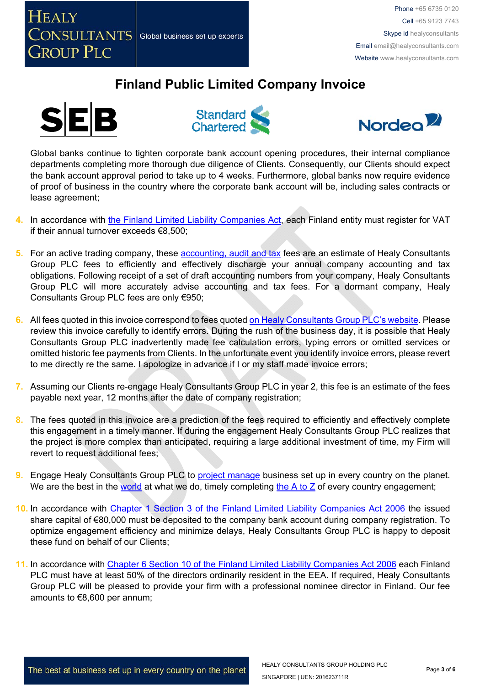







Global banks continue to tighten corporate bank account opening procedures, their internal compliance departments completing more thorough due diligence of Clients. Consequently, our Clients should expect the bank account approval period to take up to 4 weeks. Furthermore, global banks now require evidence of proof of business in the country where the corporate bank account will be, including sales contracts or lease agreement;

- **4.** In accordance with the Finland Limited Liability Companies Act, each Finland entity must register for VAT if their annual turnover exceeds €8,500;
- **5.** For an active trading company, these accounting, audit and tax fees are an estimate of Healy Consultants Group PLC fees to efficiently and effectively discharge your annual company accounting and tax obligations. Following receipt of a set of draft accounting numbers from your company, Healy Consultants Group PLC will more accurately advise accounting and tax fees. For a dormant company, Healy Consultants Group PLC fees are only €950;
- **6.** All fees quoted in this invoice correspond to fees quoted on Healy Consultants Group PLC's website. Please review this invoice carefully to identify errors. During the rush of the business day, it is possible that Healy Consultants Group PLC inadvertently made fee calculation errors, typing errors or omitted services or omitted historic fee payments from Clients. In the unfortunate event you identify invoice errors, please revert to me directly re the same. I apologize in advance if I or my staff made invoice errors;
- **7.** Assuming our Clients re-engage Healy Consultants Group PLC in year 2, this fee is an estimate of the fees payable next year, 12 months after the date of company registration;
- **8.** The fees quoted in this invoice are a prediction of the fees required to efficiently and effectively complete this engagement in a timely manner. If during the engagement Healy Consultants Group PLC realizes that the project is more complex than anticipated, requiring a large additional investment of time, my Firm will revert to request additional fees;
- **9.** Engage Healy Consultants Group PLC to **project manage** business set up in every country on the planet. We are the best in the world at what we do, timely completing the A to Z of every country engagement;
- **10.** In accordance with Chapter 1 Section 3 of the Finland Limited Liability Companies Act 2006 the issued share capital of €80,000 must be deposited to the company bank account during company registration. To optimize engagement efficiency and minimize delays, Healy Consultants Group PLC is happy to deposit these fund on behalf of our Clients;
- **11.** In accordance with Chapter 6 Section 10 of the Finland Limited Liability Companies Act 2006 each Finland PLC must have at least 50% of the directors ordinarily resident in the EEA. If required, Healy Consultants Group PLC will be pleased to provide your firm with a professional nominee director in Finland. Our fee amounts to €8,600 per annum;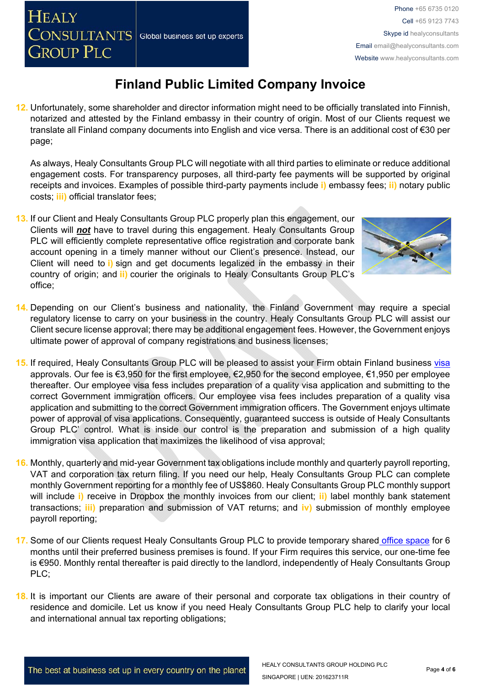**HEALY** 

**GROUP PLC** 

## **Finland Public Limited Company Invoice**

**12.** Unfortunately, some shareholder and director information might need to be officially translated into Finnish, notarized and attested by the Finland embassy in their country of origin. Most of our Clients request we translate all Finland company documents into English and vice versa. There is an additional cost of €30 per page;

As always, Healy Consultants Group PLC will negotiate with all third parties to eliminate or reduce additional engagement costs. For transparency purposes, all third-party fee payments will be supported by original receipts and invoices. Examples of possible third-party payments include **i)** embassy fees; **ii)** notary public costs; **iii)** official translator fees;

- **13.** If our Client and Healy Consultants Group PLC properly plan this engagement, our Clients will *not* have to travel during this engagement. Healy Consultants Group PLC will efficiently complete representative office registration and corporate bank account opening in a timely manner without our Client's presence. Instead, our Client will need to **i)** sign and get documents legalized in the embassy in their country of origin; and **ii)** courier the originals to Healy Consultants Group PLC's office;
- **14.** Depending on our Client's business and nationality, the Finland Government may require a special regulatory license to carry on your business in the country. Healy Consultants Group PLC will assist our Client secure license approval; there may be additional engagement fees. However, the Government enjoys ultimate power of approval of company registrations and business licenses;
- **15.** If required, Healy Consultants Group PLC will be pleased to assist your Firm obtain Finland business visa approvals. Our fee is €3,950 for the first employee, €2,950 for the second employee, €1,950 per employee thereafter. Our employee visa fess includes preparation of a quality visa application and submitting to the correct Government immigration officers. Our employee visa fees includes preparation of a quality visa application and submitting to the correct Government immigration officers. The Government enjoys ultimate power of approval of visa applications. Consequently, guaranteed success is outside of Healy Consultants Group PLC' control. What is inside our control is the preparation and submission of a high quality immigration visa application that maximizes the likelihood of visa approval;
- **16.** Monthly, quarterly and mid-year Government tax obligations include monthly and quarterly payroll reporting, VAT and corporation tax return filing. If you need our help, Healy Consultants Group PLC can complete monthly Government reporting for a monthly fee of US\$860. Healy Consultants Group PLC monthly support will include **i)** receive in Dropbox the monthly invoices from our client; **ii)** label monthly bank statement transactions; **iii)** preparation and submission of VAT returns; and **iv)** submission of monthly employee payroll reporting;
- **17.** Some of our Clients request Healy Consultants Group PLC to provide temporary shared office space for 6 months until their preferred business premises is found. If your Firm requires this service, our one-time fee is €950. Monthly rental thereafter is paid directly to the landlord, independently of Healy Consultants Group PLC;
- **18.** It is important our Clients are aware of their personal and corporate tax obligations in their country of residence and domicile. Let us know if you need Healy Consultants Group PLC help to clarify your local and international annual tax reporting obligations;

HEALY CONSULTANTS GROUP HOLDING PLC

SINGAPORE | UEN: 201623711R

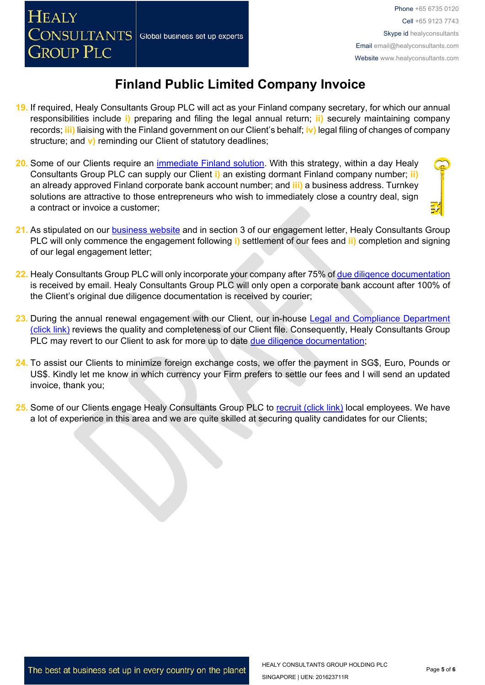- **19.** If required, Healy Consultants Group PLC will act as your Finland company secretary, for which our annual responsibilities include **i)** preparing and filing the legal annual return; **ii)** securely maintaining company records; **iii)** liaising with the Finland government on our Client's behalf; **iv)** legal filing of changes of company structure; and **v)** reminding our Client of statutory deadlines;
- **20.** Some of our Clients require an immediate Finland solution. With this strategy, within a day Healy Consultants Group PLC can supply our Client **i)** an existing dormant Finland company number; **ii)** an already approved Finland corporate bank account number; and **iii)** a business address. Turnkey solutions are attractive to those entrepreneurs who wish to immediately close a country deal, sign a contract or invoice a customer;
- **21.** As stipulated on our business website and in section 3 of our engagement letter, Healy Consultants Group PLC will only commence the engagement following **i)** settlement of our fees and **ii)** completion and signing of our legal engagement letter;
- **22.** Healy Consultants Group PLC will only incorporate your company after 75% of due diligence documentation is received by email. Healy Consultants Group PLC will only open a corporate bank account after 100% of the Client's original due diligence documentation is received by courier;
- 23. During the annual renewal engagement with our Client, our in-house Legal and Compliance Department (click link) reviews the quality and completeness of our Client file. Consequently, Healy Consultants Group PLC may revert to our Client to ask for more up to date due diligence documentation;
- **24.** To assist our Clients to minimize foreign exchange costs, we offer the payment in SG\$, Euro, Pounds or US\$. Kindly let me know in which currency your Firm prefers to settle our fees and I will send an updated invoice, thank you;
- **25.** Some of our Clients engage Healy Consultants Group PLC to recruit (click link) local employees. We have a lot of experience in this area and we are quite skilled at securing quality candidates for our Clients;